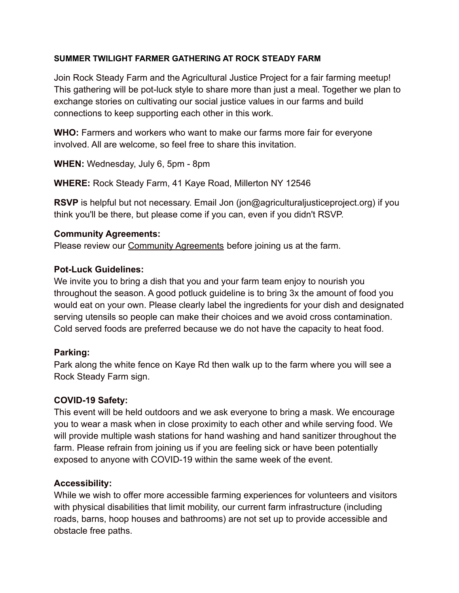### **SUMMER TWILIGHT FARMER GATHERING AT ROCK STEADY FARM**

Join Rock Steady Farm and the Agricultural Justice Project for a fair farming meetup! This gathering will be pot-luck style to share more than just a meal. Together we plan to exchange stories on cultivating our social justice values in our farms and build connections to keep supporting each other in this work.

**WHO:** Farmers and workers who want to make our farms more fair for everyone involved. All are welcome, so feel free to share this invitation.

**WHEN:** Wednesday, July 6, 5pm - 8pm

**WHERE:** Rock Steady Farm, 41 Kaye Road, Millerton NY 12546

**RSVP** is helpful but not necessary. Email Jon (jon@agriculturaljusticeproject.org) if you think you'll be there, but please come if you can, even if you didn't RSVP.

### **Community Agreements:**

Please review our **[Community Agreements](https://www.rocksteadyfarm.com/community-agreements)** before joining us at the farm.

### **Pot-Luck Guidelines:**

We invite you to bring a dish that you and your farm team enjoy to nourish you throughout the season. A good potluck guideline is to bring 3x the amount of food you would eat on your own. Please clearly label the ingredients for your dish and designated serving utensils so people can make their choices and we avoid cross contamination. Cold served foods are preferred because we do not have the capacity to heat food.

# **Parking:**

Park along the white fence on Kaye Rd then walk up to the farm where you will see a Rock Steady Farm sign.

# **COVID-19 Safety:**

This event will be held outdoors and we ask everyone to bring a mask. We encourage you to wear a mask when in close proximity to each other and while serving food. We will provide multiple wash stations for hand washing and hand sanitizer throughout the farm. Please refrain from joining us if you are feeling sick or have been potentially exposed to anyone with COVID-19 within the same week of the event.

# **Accessibility:**

While we wish to offer more accessible farming experiences for volunteers and visitors with physical disabilities that limit mobility, our current farm infrastructure (including roads, barns, hoop houses and bathrooms) are not set up to provide accessible and obstacle free paths.